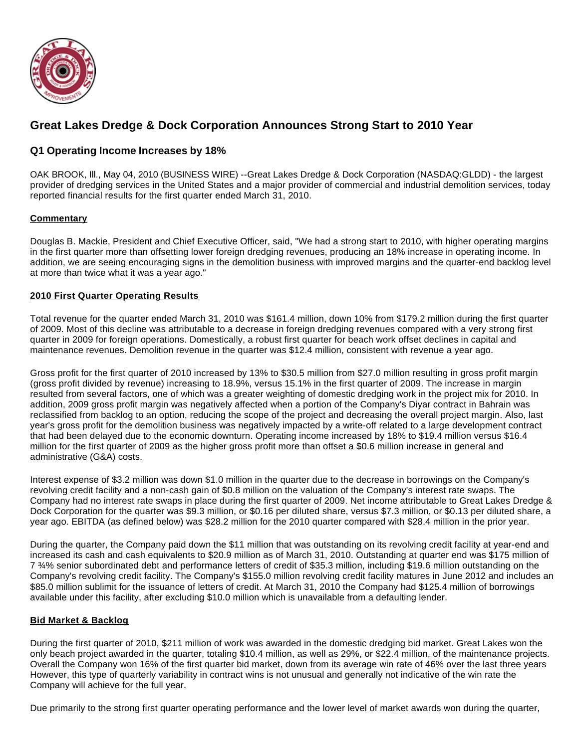

# **Great Lakes Dredge & Dock Corporation Announces Strong Start to 2010 Year**

# **Q1 Operating Income Increases by 18%**

OAK BROOK, Ill., May 04, 2010 (BUSINESS WIRE) --Great Lakes Dredge & Dock Corporation (NASDAQ:GLDD) - the largest provider of dredging services in the United States and a major provider of commercial and industrial demolition services, today reported financial results for the first quarter ended March 31, 2010.

## **Commentary**

Douglas B. Mackie, President and Chief Executive Officer, said, "We had a strong start to 2010, with higher operating margins in the first quarter more than offsetting lower foreign dredging revenues, producing an 18% increase in operating income. In addition, we are seeing encouraging signs in the demolition business with improved margins and the quarter-end backlog level at more than twice what it was a year ago."

#### **2010 First Quarter Operating Results**

Total revenue for the quarter ended March 31, 2010 was \$161.4 million, down 10% from \$179.2 million during the first quarter of 2009. Most of this decline was attributable to a decrease in foreign dredging revenues compared with a very strong first quarter in 2009 for foreign operations. Domestically, a robust first quarter for beach work offset declines in capital and maintenance revenues. Demolition revenue in the quarter was \$12.4 million, consistent with revenue a year ago.

Gross profit for the first quarter of 2010 increased by 13% to \$30.5 million from \$27.0 million resulting in gross profit margin (gross profit divided by revenue) increasing to 18.9%, versus 15.1% in the first quarter of 2009. The increase in margin resulted from several factors, one of which was a greater weighting of domestic dredging work in the project mix for 2010. In addition, 2009 gross profit margin was negatively affected when a portion of the Company's Diyar contract in Bahrain was reclassified from backlog to an option, reducing the scope of the project and decreasing the overall project margin. Also, last year's gross profit for the demolition business was negatively impacted by a write-off related to a large development contract that had been delayed due to the economic downturn. Operating income increased by 18% to \$19.4 million versus \$16.4 million for the first quarter of 2009 as the higher gross profit more than offset a \$0.6 million increase in general and administrative (G&A) costs.

Interest expense of \$3.2 million was down \$1.0 million in the quarter due to the decrease in borrowings on the Company's revolving credit facility and a non-cash gain of \$0.8 million on the valuation of the Company's interest rate swaps. The Company had no interest rate swaps in place during the first quarter of 2009. Net income attributable to Great Lakes Dredge & Dock Corporation for the quarter was \$9.3 million, or \$0.16 per diluted share, versus \$7.3 million, or \$0.13 per diluted share, a year ago. EBITDA (as defined below) was \$28.2 million for the 2010 quarter compared with \$28.4 million in the prior year.

During the quarter, the Company paid down the \$11 million that was outstanding on its revolving credit facility at year-end and increased its cash and cash equivalents to \$20.9 million as of March 31, 2010. Outstanding at quarter end was \$175 million of 7 ¾% senior subordinated debt and performance letters of credit of \$35.3 million, including \$19.6 million outstanding on the Company's revolving credit facility. The Company's \$155.0 million revolving credit facility matures in June 2012 and includes an \$85.0 million sublimit for the issuance of letters of credit. At March 31, 2010 the Company had \$125.4 million of borrowings available under this facility, after excluding \$10.0 million which is unavailable from a defaulting lender.

#### **Bid Market & Backlog**

During the first quarter of 2010, \$211 million of work was awarded in the domestic dredging bid market. Great Lakes won the only beach project awarded in the quarter, totaling \$10.4 million, as well as 29%, or \$22.4 million, of the maintenance projects. Overall the Company won 16% of the first quarter bid market, down from its average win rate of 46% over the last three years However, this type of quarterly variability in contract wins is not unusual and generally not indicative of the win rate the Company will achieve for the full year.

Due primarily to the strong first quarter operating performance and the lower level of market awards won during the quarter,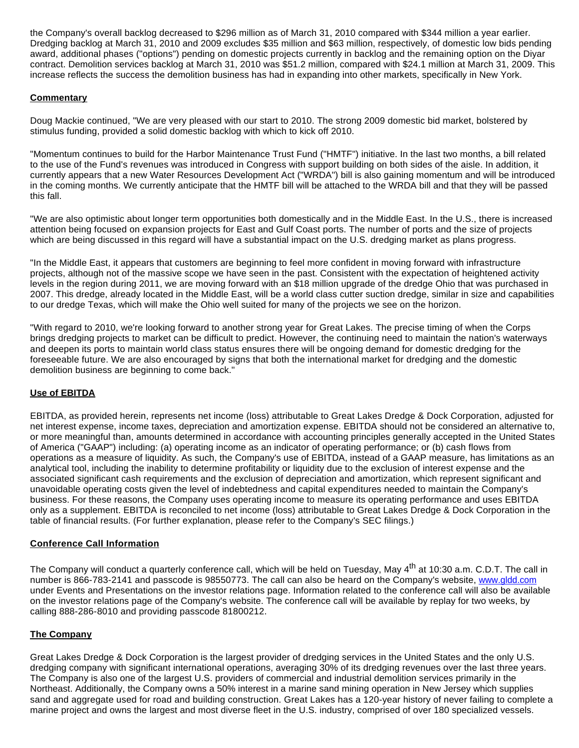the Company's overall backlog decreased to \$296 million as of March 31, 2010 compared with \$344 million a year earlier. Dredging backlog at March 31, 2010 and 2009 excludes \$35 million and \$63 million, respectively, of domestic low bids pending award, additional phases ("options") pending on domestic projects currently in backlog and the remaining option on the Diyar contract. Demolition services backlog at March 31, 2010 was \$51.2 million, compared with \$24.1 million at March 31, 2009. This increase reflects the success the demolition business has had in expanding into other markets, specifically in New York.

#### **Commentary**

Doug Mackie continued, "We are very pleased with our start to 2010. The strong 2009 domestic bid market, bolstered by stimulus funding, provided a solid domestic backlog with which to kick off 2010.

"Momentum continues to build for the Harbor Maintenance Trust Fund ("HMTF") initiative. In the last two months, a bill related to the use of the Fund's revenues was introduced in Congress with support building on both sides of the aisle. In addition, it currently appears that a new Water Resources Development Act ("WRDA") bill is also gaining momentum and will be introduced in the coming months. We currently anticipate that the HMTF bill will be attached to the WRDA bill and that they will be passed this fall.

"We are also optimistic about longer term opportunities both domestically and in the Middle East. In the U.S., there is increased attention being focused on expansion projects for East and Gulf Coast ports. The number of ports and the size of projects which are being discussed in this regard will have a substantial impact on the U.S. dredging market as plans progress.

"In the Middle East, it appears that customers are beginning to feel more confident in moving forward with infrastructure projects, although not of the massive scope we have seen in the past. Consistent with the expectation of heightened activity levels in the region during 2011, we are moving forward with an \$18 million upgrade of the dredge Ohio that was purchased in 2007. This dredge, already located in the Middle East, will be a world class cutter suction dredge, similar in size and capabilities to our dredge Texas, which will make the Ohio well suited for many of the projects we see on the horizon.

"With regard to 2010, we're looking forward to another strong year for Great Lakes. The precise timing of when the Corps brings dredging projects to market can be difficult to predict. However, the continuing need to maintain the nation's waterways and deepen its ports to maintain world class status ensures there will be ongoing demand for domestic dredging for the foreseeable future. We are also encouraged by signs that both the international market for dredging and the domestic demolition business are beginning to come back."

## **Use of EBITDA**

EBITDA, as provided herein, represents net income (loss) attributable to Great Lakes Dredge & Dock Corporation, adjusted for net interest expense, income taxes, depreciation and amortization expense. EBITDA should not be considered an alternative to, or more meaningful than, amounts determined in accordance with accounting principles generally accepted in the United States of America ("GAAP") including: (a) operating income as an indicator of operating performance; or (b) cash flows from operations as a measure of liquidity. As such, the Company's use of EBITDA, instead of a GAAP measure, has limitations as an analytical tool, including the inability to determine profitability or liquidity due to the exclusion of interest expense and the associated significant cash requirements and the exclusion of depreciation and amortization, which represent significant and unavoidable operating costs given the level of indebtedness and capital expenditures needed to maintain the Company's business. For these reasons, the Company uses operating income to measure its operating performance and uses EBITDA only as a supplement. EBITDA is reconciled to net income (loss) attributable to Great Lakes Dredge & Dock Corporation in the table of financial results. (For further explanation, please refer to the Company's SEC filings.)

## **Conference Call Information**

The Company will conduct a quarterly conference call, which will be held on Tuesday, May 4<sup>th</sup> at 10:30 a.m. C.D.T. The call in number is 866-783-2141 and passcode is 98550773. The call can also be heard on the Company's website, [www.gldd.com](http://cts.businesswire.com/ct/CT?id=smartlink&url=http%3A%2F%2Fwww.gldd.com%2F&esheet=6275421&lan=en_US&anchor=www.gldd.com&index=1&md5=e9b3eda23196dad7132584aead42d4e1) under Events and Presentations on the investor relations page. Information related to the conference call will also be available on the investor relations page of the Company's website. The conference call will be available by replay for two weeks, by calling 888-286-8010 and providing passcode 81800212.

#### **The Company**

Great Lakes Dredge & Dock Corporation is the largest provider of dredging services in the United States and the only U.S. dredging company with significant international operations, averaging 30% of its dredging revenues over the last three years. The Company is also one of the largest U.S. providers of commercial and industrial demolition services primarily in the Northeast. Additionally, the Company owns a 50% interest in a marine sand mining operation in New Jersey which supplies sand and aggregate used for road and building construction. Great Lakes has a 120-year history of never failing to complete a marine project and owns the largest and most diverse fleet in the U.S. industry, comprised of over 180 specialized vessels.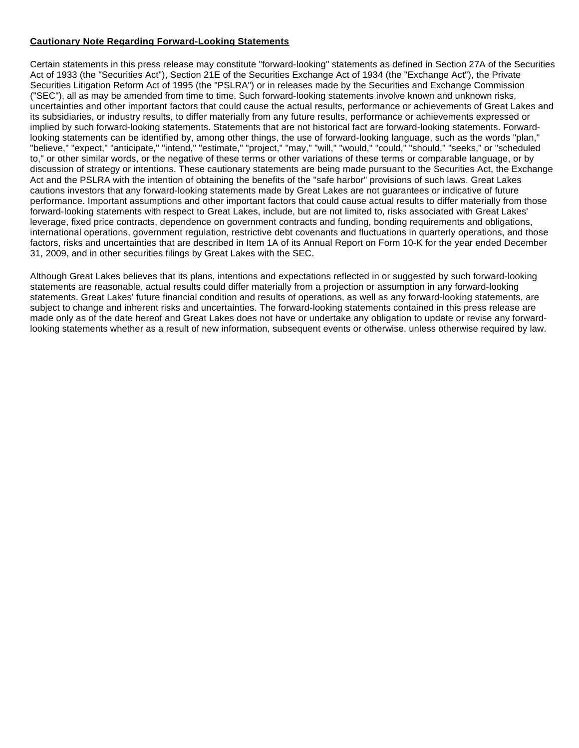# **Cautionary Note Regarding Forward-Looking Statements**

Certain statements in this press release may constitute "forward-looking" statements as defined in Section 27A of the Securities Act of 1933 (the "Securities Act"), Section 21E of the Securities Exchange Act of 1934 (the "Exchange Act"), the Private Securities Litigation Reform Act of 1995 (the "PSLRA") or in releases made by the Securities and Exchange Commission ("SEC"), all as may be amended from time to time. Such forward-looking statements involve known and unknown risks, uncertainties and other important factors that could cause the actual results, performance or achievements of Great Lakes and its subsidiaries, or industry results, to differ materially from any future results, performance or achievements expressed or implied by such forward-looking statements. Statements that are not historical fact are forward-looking statements. Forwardlooking statements can be identified by, among other things, the use of forward-looking language, such as the words "plan," "believe," "expect," "anticipate," "intend," "estimate," "project," "may," "will," "would," "could," "should," "seeks," or "scheduled to," or other similar words, or the negative of these terms or other variations of these terms or comparable language, or by discussion of strategy or intentions. These cautionary statements are being made pursuant to the Securities Act, the Exchange Act and the PSLRA with the intention of obtaining the benefits of the "safe harbor" provisions of such laws. Great Lakes cautions investors that any forward-looking statements made by Great Lakes are not guarantees or indicative of future performance. Important assumptions and other important factors that could cause actual results to differ materially from those forward-looking statements with respect to Great Lakes, include, but are not limited to, risks associated with Great Lakes' leverage, fixed price contracts, dependence on government contracts and funding, bonding requirements and obligations, international operations, government regulation, restrictive debt covenants and fluctuations in quarterly operations, and those factors, risks and uncertainties that are described in Item 1A of its Annual Report on Form 10-K for the year ended December 31, 2009, and in other securities filings by Great Lakes with the SEC.

Although Great Lakes believes that its plans, intentions and expectations reflected in or suggested by such forward-looking statements are reasonable, actual results could differ materially from a projection or assumption in any forward-looking statements. Great Lakes' future financial condition and results of operations, as well as any forward-looking statements, are subject to change and inherent risks and uncertainties. The forward-looking statements contained in this press release are made only as of the date hereof and Great Lakes does not have or undertake any obligation to update or revise any forwardlooking statements whether as a result of new information, subsequent events or otherwise, unless otherwise required by law.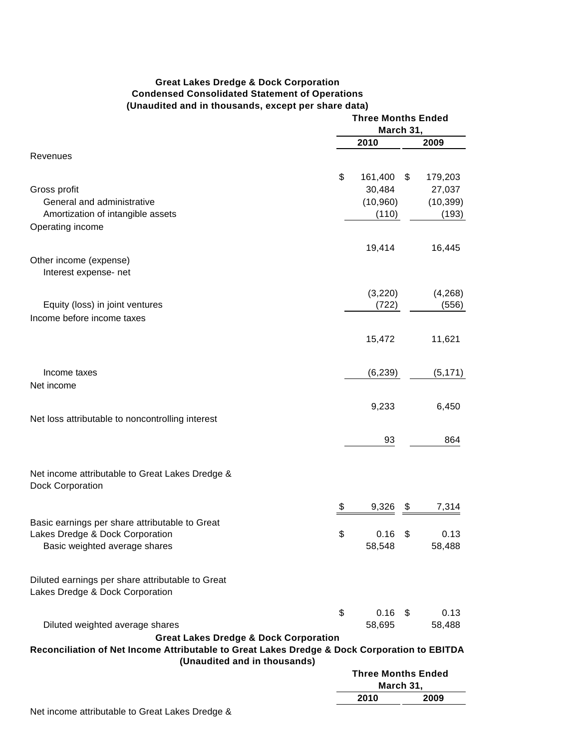## **Great Lakes Dredge & Dock Corporation Condensed Consolidated Statement of Operations (Unaudited and in thousands, except per share data)**

|                                                                                              |     | <b>Three Months Ended</b><br>March 31, |     |           |
|----------------------------------------------------------------------------------------------|-----|----------------------------------------|-----|-----------|
|                                                                                              |     | 2010                                   |     | 2009      |
| Revenues                                                                                     |     |                                        |     |           |
|                                                                                              | \$  | 161,400                                | \$  | 179,203   |
| Gross profit                                                                                 |     | 30,484                                 |     | 27,037    |
| General and administrative                                                                   |     | (10, 960)                              |     | (10, 399) |
| Amortization of intangible assets                                                            |     | (110)                                  |     | (193)     |
| Operating income                                                                             |     |                                        |     |           |
|                                                                                              |     |                                        |     |           |
|                                                                                              |     | 19,414                                 |     | 16,445    |
| Other income (expense)                                                                       |     |                                        |     |           |
| Interest expense- net                                                                        |     |                                        |     |           |
|                                                                                              |     | (3, 220)                               |     | (4,268)   |
| Equity (loss) in joint ventures                                                              |     | (722)                                  |     | (556)     |
| Income before income taxes                                                                   |     |                                        |     |           |
|                                                                                              |     |                                        |     |           |
|                                                                                              |     | 15,472                                 |     | 11,621    |
|                                                                                              |     |                                        |     |           |
| Income taxes                                                                                 |     | (6, 239)                               |     | (5, 171)  |
| Net income                                                                                   |     |                                        |     |           |
|                                                                                              |     |                                        |     |           |
|                                                                                              |     | 9,233                                  |     | 6,450     |
| Net loss attributable to noncontrolling interest                                             |     |                                        |     |           |
|                                                                                              |     |                                        |     |           |
|                                                                                              |     | 93                                     |     | 864       |
|                                                                                              |     |                                        |     |           |
| Net income attributable to Great Lakes Dredge &                                              |     |                                        |     |           |
| Dock Corporation                                                                             |     |                                        |     |           |
|                                                                                              |     |                                        |     |           |
|                                                                                              | \$  | 9,326                                  | \$  | 7,314     |
| Basic earnings per share attributable to Great                                               |     |                                        |     |           |
| Lakes Dredge & Dock Corporation                                                              | \$. | 0.16                                   | \$. | 0.13      |
| Basic weighted average shares                                                                |     | 58,548                                 |     | 58,488    |
|                                                                                              |     |                                        |     |           |
| Diluted earnings per share attributable to Great                                             |     |                                        |     |           |
| Lakes Dredge & Dock Corporation                                                              |     |                                        |     |           |
|                                                                                              |     |                                        |     |           |
|                                                                                              | \$  | $0.16$ \$                              |     | 0.13      |
| Diluted weighted average shares                                                              |     | 58,695                                 |     | 58,488    |
| <b>Great Lakes Dredge &amp; Dock Corporation</b>                                             |     |                                        |     |           |
| Reconciliation of Net Income Attributable to Great Lakes Dredge & Dock Corporation to EBITDA |     |                                        |     |           |
| (Unaudited and in thousands)                                                                 |     |                                        |     |           |
|                                                                                              |     | <b>Three Months Ended</b><br>March 31, |     |           |
|                                                                                              |     | 2010                                   |     | 2009      |

Net income attributable to Great Lakes Dredge &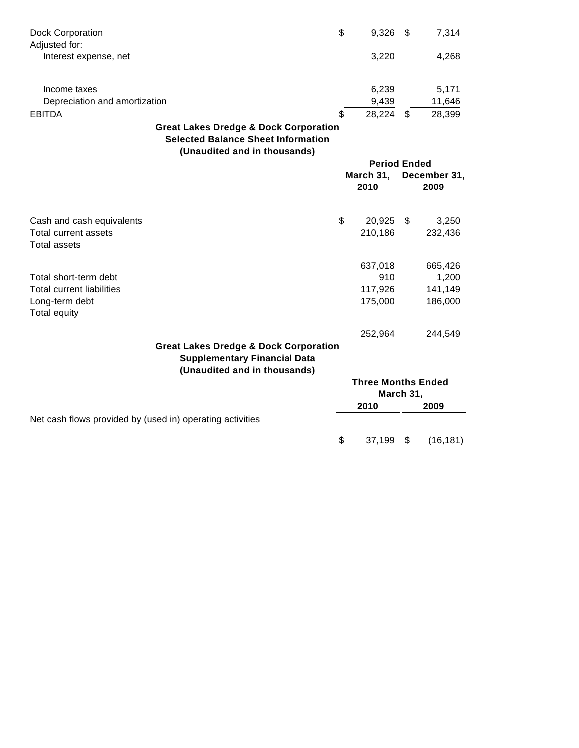| Dock Corporation<br>Adjusted for:                                                                                             | \$<br>9,326                            | - \$ | 7,314                |
|-------------------------------------------------------------------------------------------------------------------------------|----------------------------------------|------|----------------------|
| Interest expense, net                                                                                                         | 3,220                                  |      | 4,268                |
| Income taxes                                                                                                                  | 6,239                                  |      | 5,171                |
| Depreciation and amortization                                                                                                 | 9,439                                  |      | 11,646               |
| <b>EBITDA</b>                                                                                                                 | \$<br>28,224                           | \$   | 28,399               |
| <b>Great Lakes Dredge &amp; Dock Corporation</b><br><b>Selected Balance Sheet Information</b><br>(Unaudited and in thousands) |                                        |      |                      |
|                                                                                                                               | <b>Period Ended</b>                    |      |                      |
|                                                                                                                               | March 31,<br>2010                      |      | December 31,<br>2009 |
|                                                                                                                               |                                        |      |                      |
| Cash and cash equivalents                                                                                                     | \$<br>20,925                           | \$   | 3,250                |
| <b>Total current assets</b><br><b>Total assets</b>                                                                            | 210,186                                |      | 232,436              |
|                                                                                                                               | 637,018                                |      | 665,426              |
| Total short-term debt                                                                                                         | 910                                    |      | 1,200                |
| <b>Total current liabilities</b>                                                                                              | 117,926                                |      | 141,149              |
| Long-term debt<br>Total equity                                                                                                | 175,000                                |      | 186,000              |
|                                                                                                                               | 252,964                                |      | 244,549              |
| <b>Great Lakes Dredge &amp; Dock Corporation</b><br><b>Supplementary Financial Data</b><br>(Unaudited and in thousands)       |                                        |      |                      |
|                                                                                                                               |                                        |      |                      |
|                                                                                                                               | <b>Three Months Ended</b><br>March 31, |      |                      |
|                                                                                                                               | 2010                                   |      | 2009                 |
| Net cash flows provided by (used in) operating activities                                                                     |                                        |      |                      |
|                                                                                                                               | \$<br>37,199                           | \$   | (16, 181)            |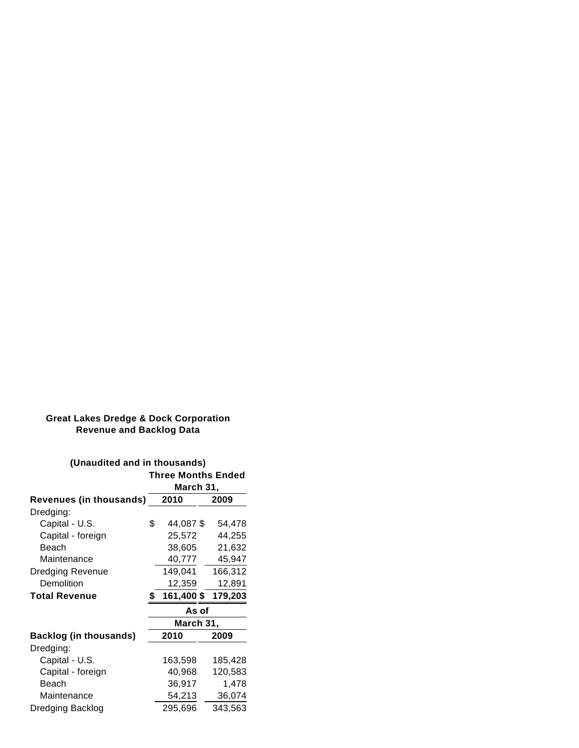#### **Great Lakes Dredge & Dock Corporation Revenue and Backlog Data**

| (Unaudited and in thousands)   |                           |            |         |  |
|--------------------------------|---------------------------|------------|---------|--|
|                                | <b>Three Months Ended</b> |            |         |  |
|                                | March 31,                 |            |         |  |
| <b>Revenues (in thousands)</b> |                           | 2010       | 2009    |  |
| Dredging:                      |                           |            |         |  |
| Capital - U.S.                 | \$                        | 44,087 \$  | 54,478  |  |
| Capital - foreign              |                           | 25,572     | 44,255  |  |
| Beach                          |                           | 38,605     | 21,632  |  |
| Maintenance                    |                           | 40,777     | 45,947  |  |
| <b>Dredging Revenue</b>        |                           | 149,041    | 166,312 |  |
| Demolition                     |                           | 12,359     | 12,891  |  |
| <b>Total Revenue</b>           |                           | 161,400 \$ | 179,203 |  |
|                                | As of                     |            |         |  |
|                                |                           | March 31,  |         |  |
| <b>Backlog (in thousands)</b>  |                           | 2010       | 2009    |  |
| Dredging:                      |                           |            |         |  |
| Capital - U.S.                 |                           | 163,598    | 185,428 |  |
| Capital - foreign              |                           | 40,968     | 120,583 |  |
| Beach                          |                           | 36,917     | 1,478   |  |
| Maintenance                    |                           | 54,213     | 36,074  |  |
| Dredging Backlog               |                           | 295,696    | 343,563 |  |